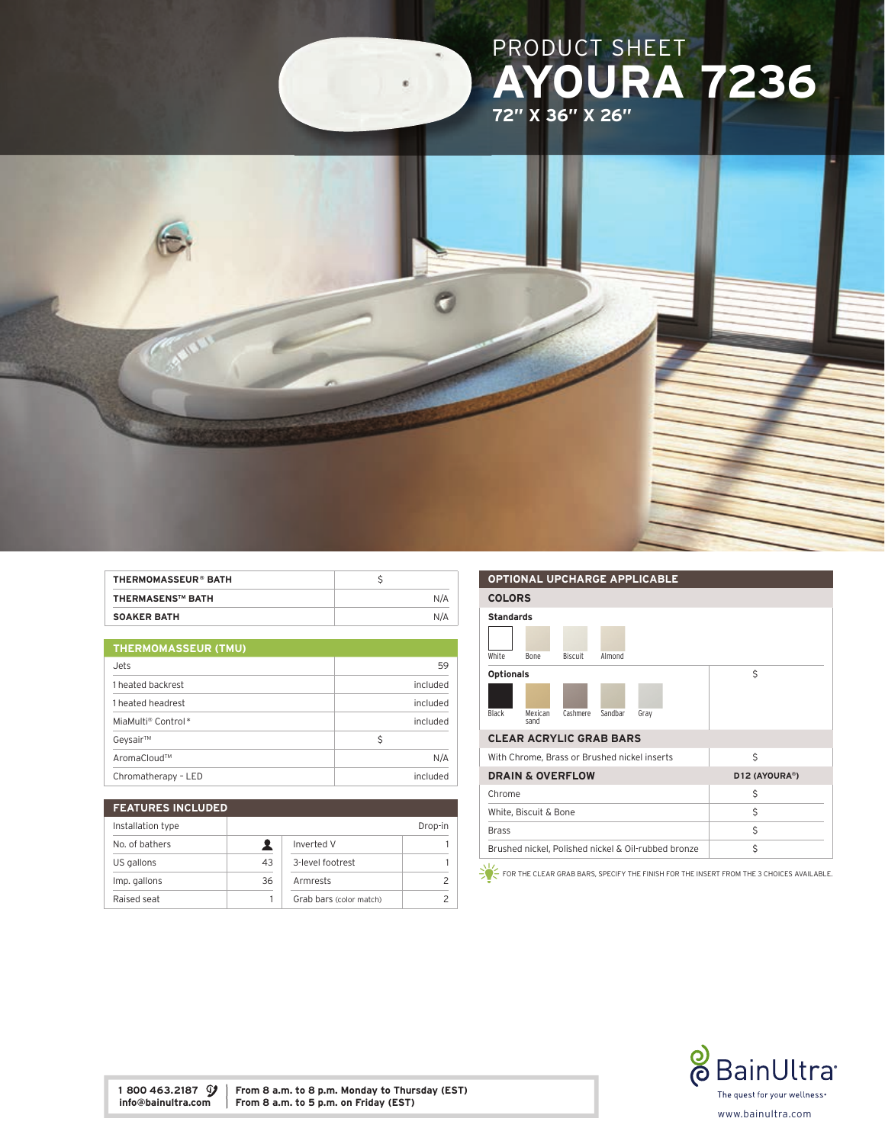

| THERMOMASSEUR® BATH     |     |
|-------------------------|-----|
| <b>THERMASENS™ BATH</b> | N/A |
| <b>SOAKER BATH</b>      | N/A |

| <b>THERMOMASSEUR (TMU)</b> |          |
|----------------------------|----------|
| Jets                       | 59       |
| 1 heated backrest          | included |
| 1 heated headrest          | included |
| MiaMulti® Control*         | included |
| Geysair™                   | Ŝ        |
| AromaCloud™                | N/A      |
| Chromatherapy - LED        | included |

| <b>FEATURES INCLUDED</b> |    |                         |         |
|--------------------------|----|-------------------------|---------|
| Installation type        |    |                         | Drop-in |
| No. of bathers           |    | Inverted V              |         |
| US gallons               | 43 | 3-level footrest        |         |
| Imp. gallons             | 36 | Armrests                |         |
| Raised seat              |    | Grab bars (color match) |         |

## OPTIONAL UPCHARGE APPLICABLE COLORS Standards White Bone Biscuit Almond Optionals Black Mexican sand Cashmere Sandbar Gray \$ CLEAR ACRYLIC GRAB BARS With Chrome, Brass or Brushed nickel inserts  $\begin{array}{c} \S \end{array}$ DRAIN & OVERFLOW D12 (AYOURA®) Chrome  $\zeta$ White, Biscuit & Bone  $\zeta$ Brass \$ Brushed nickel, Polished nickel & Oil-rubbed bronze \$

FOR THE CLEAR GRAB BARS, SPECIFY THE FINISH FOR THE INSERT FROM THE 3 CHOICES AVAILABLE.



1 800 463.2187  $\mathcal{Y}$  From 8 a.m. to 8 p.m. Monday to Thursday (EST) info@bainultra.com From 8 a.m. to 5 p.m. on Friday (EST) From 8 a.m. to 5 p.m. on Friday (EST)